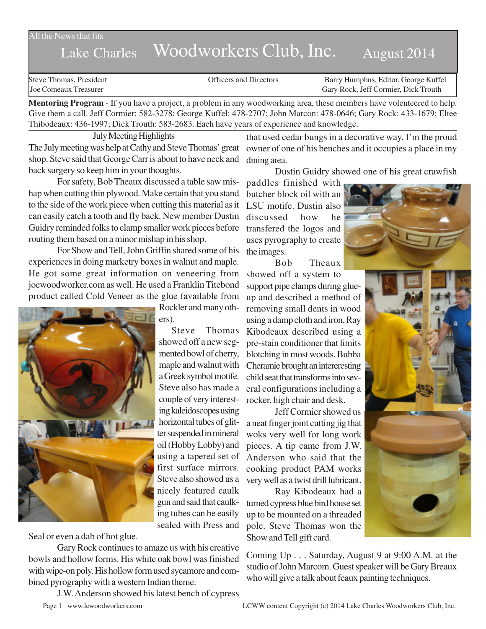All the News that fits

## Lake Charles Woodworkers Club, Inc. August 2014

Steve Thomas, President **State Concrete Concrete Concrete Concrete Concrete Concrete Concrete Concrete Concrete Concrete Concrete Concrete Concrete Concrete Concrete Concrete Concrete Concrete Concrete Concrete Concrete Co** Joe Comeaux Treasurer Gary Rock, Jeff Cormier, Dick Trouth

**Mentoring Program** - If you have a project, a problem in any woodworking area, these members have volenteered to help. Give them a call. Jeff Cormier: 582-3278; George Kuffel: 478-2707; John Marcon: 478-0646; Gary Rock: 433-1679; Eltee Thibodeaux: 436-1997; Dick Trouth: 583-2683. Each have years of experience and knowledge.

July Meeting Highlights

The July meeting was help at Cathy and Steve Thomas' great shop. Steve said that George Carr is about to have neck and back surgery so keep him in your thoughts.

For safety, Bob Theaux discussed a table saw mishap when cutting thin plywood. Make certain that you stand to the side of the work piece when cutting this material as it can easily catch a tooth and fly back. New member Dustin Guidry reminded folks to clamp smaller work pieces before routing them based on a minor mishap in his shop.

For Show and Tell, John Griffin shared some of his experiences in doing marketry boxes in walnut and maple. He got some great information on veneering from joewoodworker.com as well. He used a Franklin Titebond product called Cold Veneer as the glue (available from



Rockler and many others).

Steve Thomas showed off a new segmented bowl of cherry, maple and walnut with a Greek symbol motife. Steve also has made a couple of very interesting kaleidoscopes using horizontal tubes of glitter suspended in mineral oil (Hobby Lobby) and using a tapered set of first surface mirrors. Steve also showed us a nicely featured caulk gun and said that caulking tubes can be easily sealed with Press and

Seal or even a dab of hot glue.

Gary Rock continues to amaze us with his creative bowls and hollow forms. His white oak bowl was finished with wipe-on poly. His hollow form used sycamore and combined pyrography with a western Indian theme.

J.W. Anderson showed his latest bench of cypress

that used cedar bungs in a decorative way. I'm the proud owner of one of his benches and it occupies a place in my dining area.

Dustin Guidry showed one of his great crawfish

paddles finished with butcher block oil with an LSU motife. Dustin also discussed how he transfered the logos and uses pyrography to create the images.

Bob Theaux showed off a system to support pipe clamps during glueup and described a method of removing small dents in wood using a damp cloth and iron. Ray Kibodeaux described using a pre-stain conditioner that limits blotching in most woods. Bubba Cheramie brought an intereresting child seat that transforms into several configurations including a rocker, high chair and desk.

Jeff Cormier showed us a neat finger joint cutting jig that woks very well for long work pieces. A tip came from J.W. Anderson who said that the cooking product PAM works very well as a twist drill lubricant.

Ray Kibodeaux had a turned cypress blue bird house set up to be mounted on a threaded pole. Steve Thomas won the Show and Tell gift card.

Coming Up . . . Saturday, August 9 at 9:00 A.M. at the studio of John Marcom. Guest speaker will be Gary Breaux who will give a talk about feaux painting techniques.

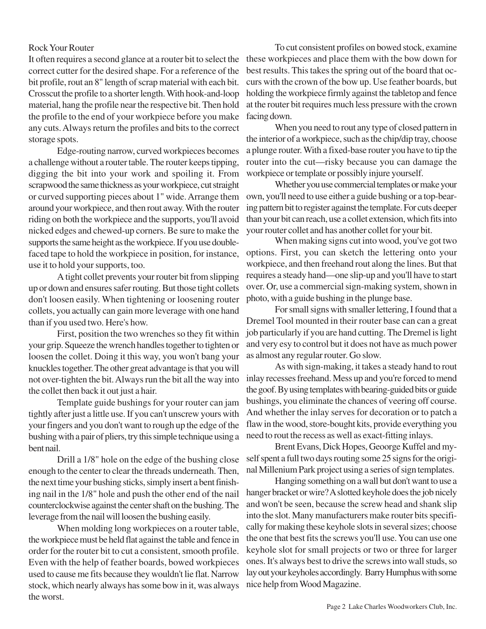## Rock Your Router

It often requires a second glance at a router bit to select the correct cutter for the desired shape. For a reference of the bit profile, rout an 8" length of scrap material with each bit. Crosscut the profile to a shorter length. With hook-and-loop material, hang the profile near the respective bit. Then hold the profile to the end of your workpiece before you make any cuts. Always return the profiles and bits to the correct storage spots.

Edge-routing narrow, curved workpieces becomes a challenge without a router table. The router keeps tipping, digging the bit into your work and spoiling it. From scrapwood the same thickness as your workpiece, cut straight or curved supporting pieces about 1" wide. Arrange them around your workpiece, and then rout away. With the router riding on both the workpiece and the supports, you'll avoid nicked edges and chewed-up corners. Be sure to make the supports the same height as the workpiece. If you use doublefaced tape to hold the workpiece in position, for instance, use it to hold your supports, too.

A tight collet prevents your router bit from slipping up or down and ensures safer routing. But those tight collets don't loosen easily. When tightening or loosening router collets, you actually can gain more leverage with one hand than if you used two. Here's how.

First, position the two wrenches so they fit within your grip. Squeeze the wrench handles together to tighten or loosen the collet. Doing it this way, you won't bang your knuckles together. The other great advantage is that you will not over-tighten the bit. Always run the bit all the way into the collet then back it out just a hair.

Template guide bushings for your router can jam tightly after just a little use. If you can't unscrew yours with your fingers and you don't want to rough up the edge of the bushing with a pair of pliers, try this simple technique using a bent nail.

Drill a 1/8" hole on the edge of the bushing close enough to the center to clear the threads underneath. Then, the next time your bushing sticks, simply insert a bent finishing nail in the 1/8" hole and push the other end of the nail counterclockwise against the center shaft on the bushing. The leverage from the nail will loosen the bushing easily.

When molding long workpieces on a router table, the workpiece must be held flat against the table and fence in order for the router bit to cut a consistent, smooth profile. Even with the help of feather boards, bowed workpieces used to cause me fits because they wouldn't lie flat. Narrow stock, which nearly always has some bow in it, was always the worst.

To cut consistent profiles on bowed stock, examine these workpieces and place them with the bow down for best results. This takes the spring out of the board that occurs with the crown of the bow up. Use feather boards, but holding the workpiece firmly against the tabletop and fence at the router bit requires much less pressure with the crown facing down.

When you need to rout any type of closed pattern in the interior of a workpiece, such as the chip/dip tray, choose a plunge router. With a fixed-base router you have to tip the router into the cut—risky because you can damage the workpiece or template or possibly injure yourself.

Whether you use commercial templates or make your own, you'll need to use either a guide bushing or a top-bearing pattern bit to register against the template. For cuts deeper than your bit can reach, use a collet extension, which fits into your router collet and has another collet for your bit.

When making signs cut into wood, you've got two options. First, you can sketch the lettering onto your workpiece, and then freehand rout along the lines. But that requires a steady hand—one slip-up and you'll have to start over. Or, use a commercial sign-making system, shown in photo, with a guide bushing in the plunge base.

For small signs with smaller lettering, I found that a Dremel Tool mounted in their router base can can a great job particularly if you are hand cutting. The Dremel is light and very esy to control but it does not have as much power as almost any regular router. Go slow.

As with sign-making, it takes a steady hand to rout inlay recesses freehand. Mess up and you're forced to mend the goof. By using templates with bearing-guided bits or guide bushings, you eliminate the chances of veering off course. And whether the inlay serves for decoration or to patch a flaw in the wood, store-bought kits, provide everything you need to rout the recess as well as exact-fitting inlays.

Brent Evans, Dick Hopes, Geoorge Kuffel and myself spent a full two days routing some 25 signs for the original Millenium Park project using a series of sign templates.

Hanging something on a wall but don't want to use a hanger bracket or wire? A slotted keyhole does the job nicely and won't be seen, because the screw head and shank slip into the slot. Many manufacturers make router bits specifically for making these keyhole slots in several sizes; choose the one that best fits the screws you'll use. You can use one keyhole slot for small projects or two or three for larger ones. It's always best to drive the screws into wall studs, so lay out your keyholes accordingly. Barry Humphus with some nice help from Wood Magazine.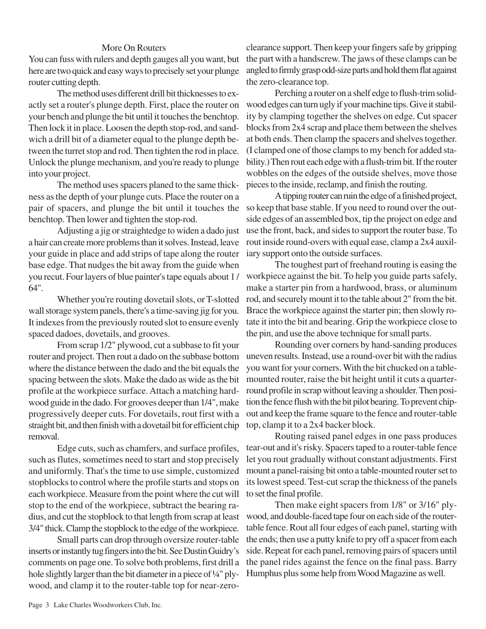## More On Routers

You can fuss with rulers and depth gauges all you want, but here are two quick and easy ways to precisely set your plunge router cutting depth.

The method uses different drill bit thicknesses to exactly set a router's plunge depth. First, place the router on your bench and plunge the bit until it touches the benchtop. Then lock it in place. Loosen the depth stop-rod, and sandwich a drill bit of a diameter equal to the plunge depth between the turret stop and rod. Then tighten the rod in place. Unlock the plunge mechanism, and you're ready to plunge into your project.

The method uses spacers planed to the same thickness as the depth of your plunge cuts. Place the router on a pair of spacers, and plunge the bit until it touches the benchtop. Then lower and tighten the stop-rod.

Adjusting a jig or straightedge to widen a dado just a hair can create more problems than it solves. Instead, leave your guide in place and add strips of tape along the router base edge. That nudges the bit away from the guide when you recut. Four layers of blue painter's tape equals about 1 / 64".

Whether you're routing dovetail slots, or T-slotted wall storage system panels, there's a time-saving jig for you. It indexes from the previously routed slot to ensure evenly spaced dadoes, dovetails, and grooves.

From scrap 1/2" plywood, cut a subbase to fit your router and project. Then rout a dado on the subbase bottom where the distance between the dado and the bit equals the spacing between the slots. Make the dado as wide as the bit profile at the workpiece surface. Attach a matching hardwood guide in the dado. For grooves deeper than 1/4", make progressively deeper cuts. For dovetails, rout first with a straight bit, and then finish with a dovetail bit for efficient chip removal.

Edge cuts, such as chamfers, and surface profiles, such as flutes, sometimes need to start and stop precisely and uniformly. That's the time to use simple, customized stopblocks to control where the profile starts and stops on each workpiece. Measure from the point where the cut will stop to the end of the workpiece, subtract the bearing radius, and cut the stopblock to that length from scrap at least 3/4" thick. Clamp the stopblock to the edge of the workpiece.

Small parts can drop through oversize router-table inserts or instantly tug fingers into the bit. See Dustin Guidry's comments on page one. To solve both problems, first drill a hole slightly larger than the bit diameter in a piece of 1/4" plywood, and clamp it to the router-table top for near-zeroclearance support. Then keep your fingers safe by gripping the part with a handscrew. The jaws of these clamps can be angled to firmly grasp odd-size parts and hold them flat against the zero-clearance top.

Perching a router on a shelf edge to flush-trim solidwood edges can turn ugly if your machine tips. Give it stability by clamping together the shelves on edge. Cut spacer blocks from 2x4 scrap and place them between the shelves at both ends. Then clamp the spacers and shelves together. (I clamped one of those clamps to my bench for added stability.) Then rout each edge with a flush-trim bit. If the router wobbles on the edges of the outside shelves, move those pieces to the inside, reclamp, and finish the routing.

A tipping router can ruin the edge of a finished project, so keep that base stable. If you need to round over the outside edges of an assembled box, tip the project on edge and use the front, back, and sides to support the router base. To rout inside round-overs with equal ease, clamp a 2x4 auxiliary support onto the outside surfaces.

The toughest part of freehand routing is easing the workpiece against the bit. To help you guide parts safely, make a starter pin from a hardwood, brass, or aluminum rod, and securely mount it to the table about 2" from the bit. Brace the workpiece against the starter pin; then slowly rotate it into the bit and bearing. Grip the workpiece close to the pin, and use the above technique for small parts.

Rounding over corners by hand-sanding produces uneven results. Instead, use a round-over bit with the radius you want for your corners. With the bit chucked on a tablemounted router, raise the bit height until it cuts a quarterround profile in scrap without leaving a shoulder. Then position the fence flush with the bit pilot bearing. To prevent chipout and keep the frame square to the fence and router-table top, clamp it to a 2x4 backer block.

Routing raised panel edges in one pass produces tear-out and it's risky. Spacers taped to a router-table fence let you rout gradually without constant adjustments. First mount a panel-raising bit onto a table-mounted router set to its lowest speed. Test-cut scrap the thickness of the panels to set the final profile.

Then make eight spacers from 1/8" or 3/16" plywood, and double-faced tape four on each side of the routertable fence. Rout all four edges of each panel, starting with the ends; then use a putty knife to pry off a spacer from each side. Repeat for each panel, removing pairs of spacers until the panel rides against the fence on the final pass. Barry Humphus plus some help from Wood Magazine as well.